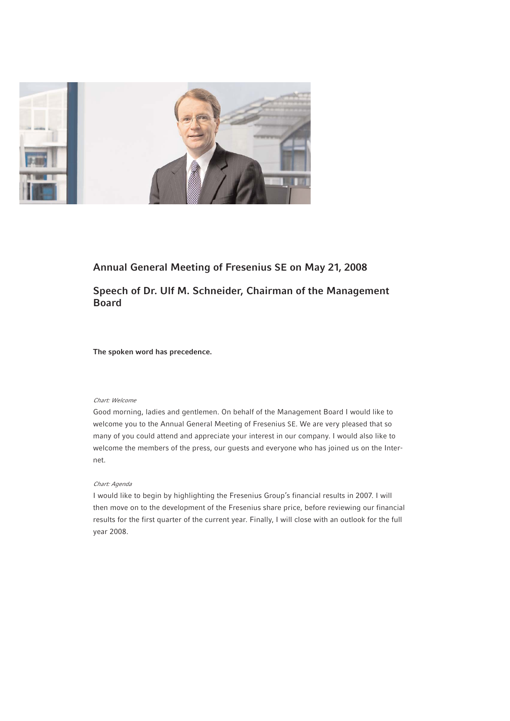

# **Annual General Meeting of Fresenius SE on May 21, 2008**

# **Speech of Dr. Ulf M. Schneider, Chairman of the Management Board**

**The spoken word has precedence.**

# Chart: Welcome

Good morning, ladies and gentlemen. On behalf of the Management Board I would like to welcome you to the Annual General Meeting of Fresenius SE. We are very pleased that so many of you could attend and appreciate your interest in our company. I would also like to welcome the members of the press, our guests and everyone who has joined us on the Internet.

## Chart: Agenda

I would like to begin by highlighting the Fresenius Group's financial results in 2007. I will then move on to the development of the Fresenius share price, before reviewing our financial results for the first quarter of the current year. Finally, I will close with an outlook for the full year 2008.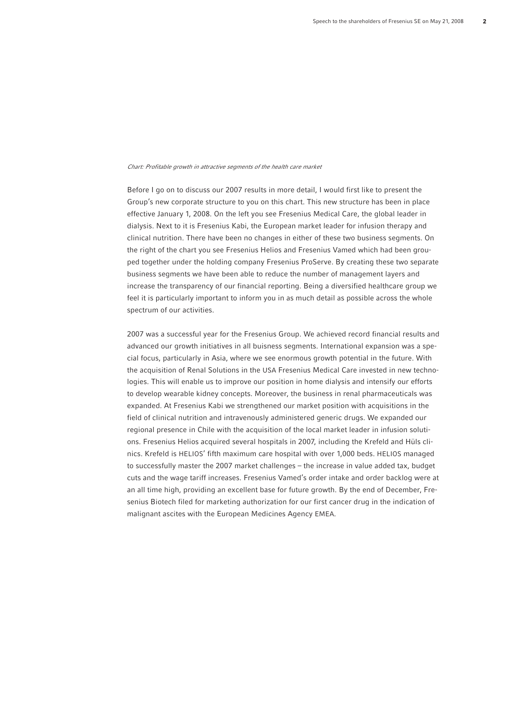#### Chart: Profitable growth in attractive segments of the health care market

Before I go on to discuss our 2007 results in more detail, I would first like to present the Group's new corporate structure to you on this chart. This new structure has been in place effective January 1, 2008. On the left you see Fresenius Medical Care, the global leader in dialysis. Next to it is Fresenius Kabi, the European market leader for infusion therapy and clinical nutrition. There have been no changes in either of these two business segments. On the right of the chart you see Fresenius Helios and Fresenius Vamed which had been grouped together under the holding company Fresenius ProServe. By creating these two separate business segments we have been able to reduce the number of management layers and increase the transparency of our financial reporting. Being a diversified healthcare group we feel it is particularly important to inform you in as much detail as possible across the whole spectrum of our activities.

2007 was a successful year for the Fresenius Group. We achieved record financial results and advanced our growth initiatives in all buisness segments. International expansion was a special focus, particularly in Asia, where we see enormous growth potential in the future. With the acquisition of Renal Solutions in the USA Fresenius Medical Care invested in new technologies. This will enable us to improve our position in home dialysis and intensify our efforts to develop wearable kidney concepts. Moreover, the business in renal pharmaceuticals was expanded. At Fresenius Kabi we strengthened our market position with acquisitions in the field of clinical nutrition and intravenously administered generic drugs. We expanded our regional presence in Chile with the acquisition of the local market leader in infusion solutions. Fresenius Helios acquired several hospitals in 2007, including the Krefeld and Hüls clinics. Krefeld is HELIOS' fifth maximum care hospital with over 1,000 beds. HELIOS managed to successfully master the 2007 market challenges – the increase in value added tax, budget cuts and the wage tariff increases. Fresenius Vamed's order intake and order backlog were at an all time high, providing an excellent base for future growth. By the end of December, Fresenius Biotech filed for marketing authorization for our first cancer drug in the indication of malignant ascites with the European Medicines Agency EMEA.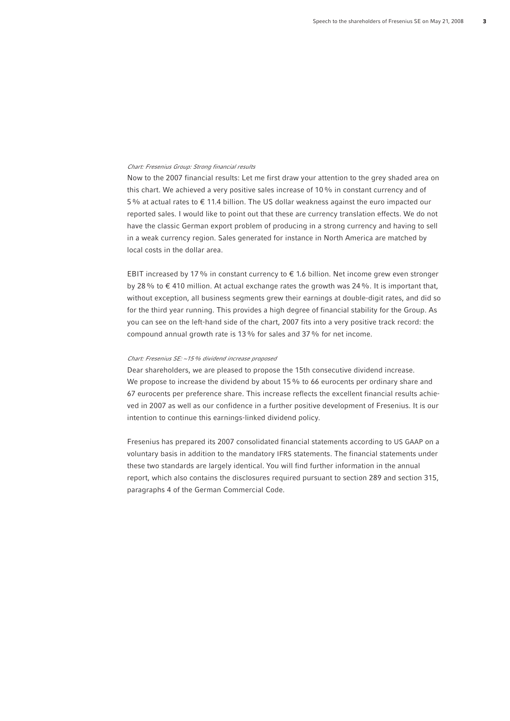## Chart: Fresenius Group: Strong financial results

Now to the 2007 financial results: Let me first draw your attention to the grey shaded area on this chart. We achieved a very positive sales increase of 10% in constant currency and of 5% at actual rates to € 11.4 billion. The US dollar weakness against the euro impacted our reported sales. I would like to point out that these are currency translation effects. We do not have the classic German export problem of producing in a strong currency and having to sell in a weak currency region. Sales generated for instance in North America are matched by local costs in the dollar area.

EBIT increased by 17 % in constant currency to  $\epsilon$  1.6 billion. Net income grew even stronger by 28% to  $\epsilon$  410 million. At actual exchange rates the growth was 24%. It is important that, without exception, all business segments grew their earnings at double-digit rates, and did so for the third year running. This provides a high degree of financial stability for the Group. As you can see on the left-hand side of the chart, 2007 fits into a very positive track record: the compound annual growth rate is 13% for sales and 37% for net income.

### Chart: Fresenius SE: ~15% dividend increase proposed

Dear shareholders, we are pleased to propose the 15th consecutive dividend increase. We propose to increase the dividend by about 15  $%$  to 66 eurocents per ordinary share and 67 eurocents per preference share. This increase reflects the excellent financial results achieved in 2007 as well as our confidence in a further positive development of Fresenius. It is our intention to continue this earnings-linked dividend policy.

Fresenius has prepared its 2007 consolidated financial statements according to US GAAP on a voluntary basis in addition to the mandatory IFRS statements. The financial statements under these two standards are largely identical. You will find further information in the annual report, which also contains the disclosures required pursuant to section 289 and section 315, paragraphs 4 of the German Commercial Code.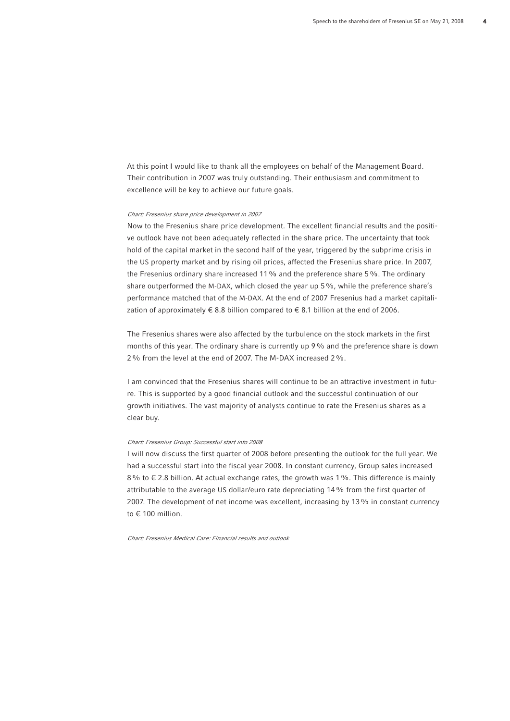At this point I would like to thank all the employees on behalf of the Management Board. Their contribution in 2007 was truly outstanding. Their enthusiasm and commitment to excellence will be key to achieve our future goals.

#### Chart: Fresenius share price development in 2007

Now to the Fresenius share price development. The excellent financial results and the positive outlook have not been adequately reflected in the share price. The uncertainty that took hold of the capital market in the second half of the year, triggered by the subprime crisis in the US property market and by rising oil prices, affected the Fresenius share price. In 2007, the Fresenius ordinary share increased 11% and the preference share 5%. The ordinary share outperformed the M-DAX, which closed the year up 5%, while the preference share's performance matched that of the M-DAX. At the end of 2007 Fresenius had a market capitalization of approximately  $\epsilon$  8.8 billion compared to  $\epsilon$  8.1 billion at the end of 2006.

The Fresenius shares were also affected by the turbulence on the stock markets in the first months of this year. The ordinary share is currently up 9% and the preference share is down 2% from the level at the end of 2007. The M-DAX increased 2%.

I am convinced that the Fresenius shares will continue to be an attractive investment in future. This is supported by a good financial outlook and the successful continuation of our growth initiatives. The vast majority of analysts continue to rate the Fresenius shares as a clear buy.

#### Chart: Fresenius Group: Successful start into 2008

I will now discuss the first quarter of 2008 before presenting the outlook for the full year. We had a successful start into the fiscal year 2008. In constant currency, Group sales increased 8% to € 2.8 billion. At actual exchange rates, the growth was 1%. This difference is mainly attributable to the average US dollar/euro rate depreciating 14% from the first quarter of 2007. The development of net income was excellent, increasing by 13% in constant currency to  $\epsilon$  100 million.

Chart: Fresenius Medical Care: Financial results and outlook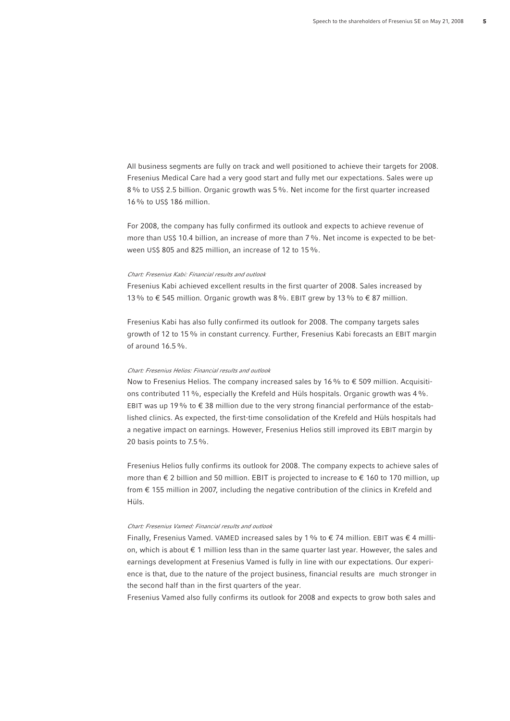All business segments are fully on track and well positioned to achieve their targets for 2008. Fresenius Medical Care had a very good start and fully met our expectations. Sales were up 8% to US\$ 2.5 billion. Organic growth was 5%. Net income for the first quarter increased 16% to US\$ 186 million.

For 2008, the company has fully confirmed its outlook and expects to achieve revenue of more than US\$ 10.4 billion, an increase of more than 7%. Net income is expected to be between US\$ 805 and 825 million, an increase of 12 to 15%.

#### Chart: Fresenius Kabi: Financial results and outlook

Fresenius Kabi achieved excellent results in the first quarter of 2008. Sales increased by 13 % to € 545 million. Organic growth was 8 %. EBIT grew by 13 % to € 87 million.

Fresenius Kabi has also fully confirmed its outlook for 2008. The company targets sales growth of 12 to 15% in constant currency. Further, Fresenius Kabi forecasts an EBIT margin of around 16.5%.

## Chart: Fresenius Helios: Financial results and outlook

Now to Fresenius Helios. The company increased sales by 16 % to € 509 million. Acquisitions contributed 11%, especially the Krefeld and Hüls hospitals. Organic growth was 4%. EBIT was up 19% to  $\epsilon$  38 million due to the very strong financial performance of the established clinics. As expected, the first-time consolidation of the Krefeld and Hüls hospitals had a negative impact on earnings. However, Fresenius Helios still improved its EBIT margin by 20 basis points to 7.5%.

Fresenius Helios fully confirms its outlook for 2008. The company expects to achieve sales of more than  $\epsilon$  2 billion and 50 million. EBIT is projected to increase to  $\epsilon$  160 to 170 million, up from € 155 million in 2007, including the negative contribution of the clinics in Krefeld and Hüls.

### Chart: Fresenius Vamed: Financial results and outlook

Finally, Fresenius Vamed. VAMED increased sales by 1% to  $\epsilon$  74 million. EBIT was  $\epsilon$  4 million, which is about € 1 million less than in the same quarter last year. However, the sales and earnings development at Fresenius Vamed is fully in line with our expectations. Our experience is that, due to the nature of the project business, financial results are much stronger in the second half than in the first quarters of the year.

Fresenius Vamed also fully confirms its outlook for 2008 and expects to grow both sales and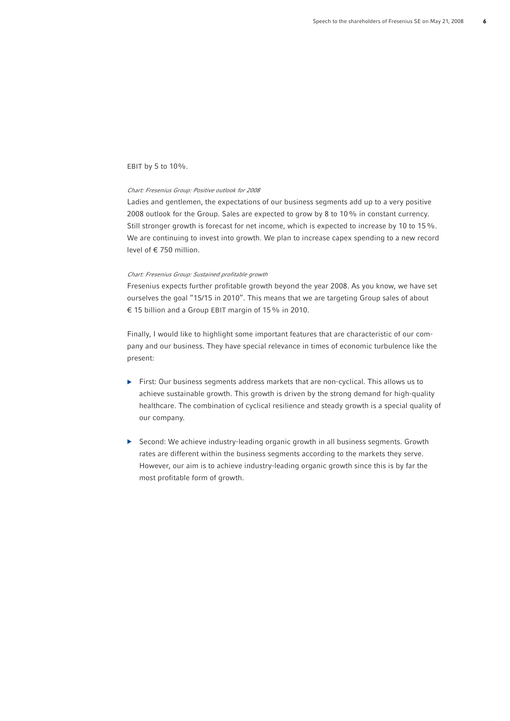## EBIT by 5 to 10%.

#### Chart: Fresenius Group: Positive outlook for 2008

Ladies and gentlemen, the expectations of our business segments add up to a very positive 2008 outlook for the Group. Sales are expected to grow by 8 to 10% in constant currency. Still stronger growth is forecast for net income, which is expected to increase by 10 to 15%. We are continuing to invest into growth. We plan to increase capex spending to a new record level of € 750 million.

## Chart: Fresenius Group: Sustained profitable growth

Fresenius expects further profitable growth beyond the year 2008. As you know, we have set ourselves the goal "15/15 in 2010". This means that we are targeting Group sales of about € 15 billion and a Group EBIT margin of 15% in 2010.

Finally, I would like to highlight some important features that are characteristic of our company and our business. They have special relevance in times of economic turbulence like the present:

- $\blacktriangleright$  First: Our business segments address markets that are non-cyclical. This allows us to achieve sustainable growth. This growth is driven by the strong demand for high-quality healthcare. The combination of cyclical resilience and steady growth is a special quality of our company.
- b Second: We achieve industry-leading organic growth in all business segments. Growth rates are different within the business segments according to the markets they serve. However, our aim is to achieve industry-leading organic growth since this is by far the most profitable form of growth.